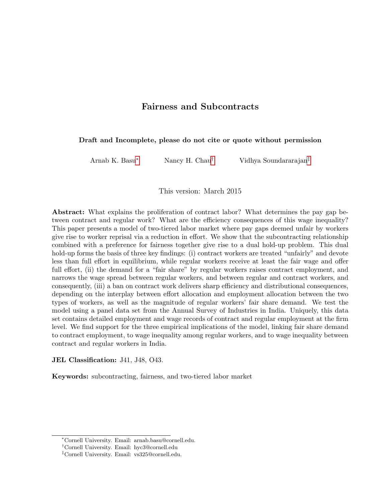# Fairness and Subcontracts

## <span id="page-0-0"></span>Draft and Incomplete, please do not cite or quote without permission

Arnab K. Basu<sup>∗</sup> Nancy H. Chau† Vidhya Soundararajan‡

This version: March 2015

Abstract: What explains the proliferation of contract labor? What determines the pay gap between contract and regular work? What are the efficiency consequences of this wage inequality? This paper presents a model of two-tiered labor market where pay gaps deemed unfair by workers give rise to worker reprisal via a reduction in effort. We show that the subcontracting relationship combined with a preference for fairness together give rise to a dual hold-up problem. This dual hold-up forms the basis of three key findings: (i) contract workers are treated "unfairly" and devote less than full effort in equilibrium, while regular workers receive at least the fair wage and offer full effort, (ii) the demand for a "fair share" by regular workers raises contract employment, and narrows the wage spread between regular workers, and between regular and contract workers, and consequently, (iii) a ban on contract work delivers sharp efficiency and distributional consequences, depending on the interplay between effort allocation and employment allocation between the two types of workers, as well as the magnitude of regular workers' fair share demand. We test the model using a panel data set from the Annual Survey of Industries in India. Uniquely, this data set contains detailed employment and wage records of contract and regular employment at the firm level. We find support for the three empirical implications of the model, linking fair share demand to contract employment, to wage inequality among regular workers, and to wage inequality between contract and regular workers in India.

JEL Classification: J41, J48, O43.

Keywords: subcontracting, fairness, and two-tiered labor market

<sup>∗</sup>Cornell University. Email: arnab.basu@cornell.edu.

<sup>†</sup>Cornell University. Email: hyc3@cornell.edu

<sup>‡</sup>Cornell University. Email: vs325@cornell.edu.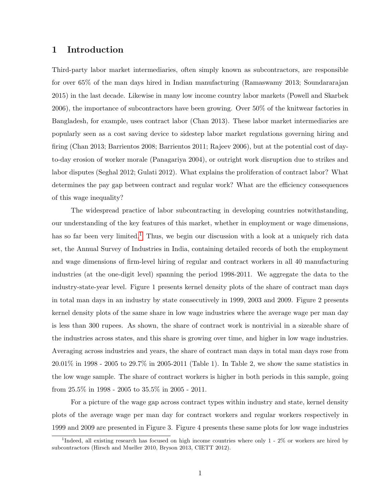## 1 Introduction

Third-party labor market intermediaries, often simply known as subcontractors, are responsible for over 65% of the man days hired in Indian manufacturing (Ramaswamy 2013; Soundararajan 2015) in the last decade. Likewise in many low income country labor markets (Powell and Skarbek 2006), the importance of subcontractors have been growing. Over 50% of the knitwear factories in Bangladesh, for example, uses contract labor (Chan 2013). These labor market intermediaries are popularly seen as a cost saving device to sidestep labor market regulations governing hiring and firing (Chan 2013; Barrientos 2008; Barrientos 2011; Rajeev 2006), but at the potential cost of dayto-day erosion of worker morale (Panagariya 2004), or outright work disruption due to strikes and labor disputes (Seghal 2012; Gulati 2012). What explains the proliferation of contract labor? What determines the pay gap between contract and regular work? What are the efficiency consequences of this wage inequality?

The widespread practice of labor subcontracting in developing countries notwithstanding, our understanding of the key features of this market, whether in employment or wage dimensions, has so far been very limited.<sup>[1](#page-0-0)</sup> Thus, we begin our discussion with a look at a uniquely rich data set, the Annual Survey of Industries in India, containing detailed records of both the employment and wage dimensions of firm-level hiring of regular and contract workers in all 40 manufacturing industries (at the one-digit level) spanning the period 1998-2011. We aggregate the data to the industry-state-year level. Figure 1 presents kernel density plots of the share of contract man days in total man days in an industry by state consecutively in 1999, 2003 and 2009. Figure 2 presents kernel density plots of the same share in low wage industries where the average wage per man day is less than 300 rupees. As shown, the share of contract work is nontrivial in a sizeable share of the industries across states, and this share is growing over time, and higher in low wage industries. Averaging across industries and years, the share of contract man days in total man days rose from 20.01% in 1998 - 2005 to 29.7% in 2005-2011 (Table 1). In Table 2, we show the same statistics in the low wage sample. The share of contract workers is higher in both periods in this sample, going from 25.5% in 1998 - 2005 to 35.5% in 2005 - 2011.

For a picture of the wage gap across contract types within industry and state, kernel density plots of the average wage per man day for contract workers and regular workers respectively in 1999 and 2009 are presented in Figure 3. Figure 4 presents these same plots for low wage industries

<sup>&</sup>lt;sup>1</sup>Indeed, all existing research has focused on high income countries where only 1 - 2% or workers are hired by subcontractors (Hirsch and Mueller 2010, Bryson 2013, CIETT 2012).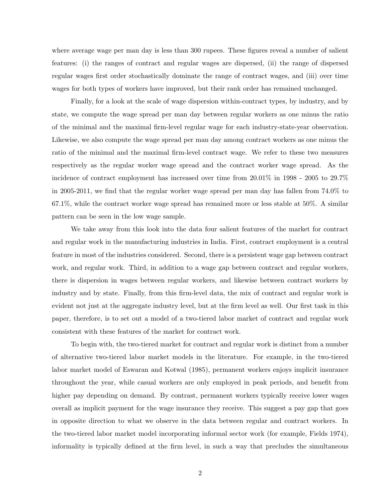where average wage per man day is less than 300 rupees. These figures reveal a number of salient features: (i) the ranges of contract and regular wages are dispersed, (ii) the range of dispersed regular wages first order stochastically dominate the range of contract wages, and (iii) over time wages for both types of workers have improved, but their rank order has remained unchanged.

Finally, for a look at the scale of wage dispersion within-contract types, by industry, and by state, we compute the wage spread per man day between regular workers as one minus the ratio of the minimal and the maximal firm-level regular wage for each industry-state-year observation. Likewise, we also compute the wage spread per man day among contract workers as one minus the ratio of the minimal and the maximal firm-level contract wage. We refer to these two measures respectively as the regular worker wage spread and the contract worker wage spread. As the incidence of contract employment has increased over time from 20.01% in 1998 - 2005 to 29.7% in 2005-2011, we find that the regular worker wage spread per man day has fallen from 74.0% to 67.1%, while the contract worker wage spread has remained more or less stable at 50%. A similar pattern can be seen in the low wage sample.

We take away from this look into the data four salient features of the market for contract and regular work in the manufacturing industries in India. First, contract employment is a central feature in most of the industries considered. Second, there is a persistent wage gap between contract work, and regular work. Third, in addition to a wage gap between contract and regular workers, there is dispersion in wages between regular workers, and likewise between contract workers by industry and by state. Finally, from this firm-level data, the mix of contract and regular work is evident not just at the aggregate industry level, but at the firm level as well. Our first task in this paper, therefore, is to set out a model of a two-tiered labor market of contract and regular work consistent with these features of the market for contract work.

To begin with, the two-tiered market for contract and regular work is distinct from a number of alternative two-tiered labor market models in the literature. For example, in the two-tiered labor market model of Eswaran and Kotwal (1985), permanent workers enjoys implicit insurance throughout the year, while casual workers are only employed in peak periods, and benefit from higher pay depending on demand. By contrast, permanent workers typically receive lower wages overall as implicit payment for the wage insurance they receive. This suggest a pay gap that goes in opposite direction to what we observe in the data between regular and contract workers. In the two-tiered labor market model incorporating informal sector work (for example, Fields 1974), informality is typically defined at the firm level, in such a way that precludes the simultaneous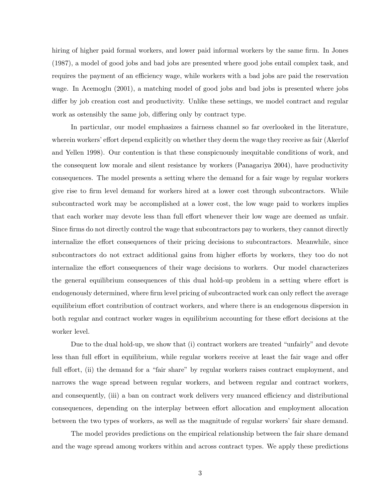hiring of higher paid formal workers, and lower paid informal workers by the same firm. In Jones (1987), a model of good jobs and bad jobs are presented where good jobs entail complex task, and requires the payment of an efficiency wage, while workers with a bad jobs are paid the reservation wage. In Acemoglu (2001), a matching model of good jobs and bad jobs is presented where jobs differ by job creation cost and productivity. Unlike these settings, we model contract and regular work as ostensibly the same job, differing only by contract type.

In particular, our model emphasizes a fairness channel so far overlooked in the literature, wherein workers' effort depend explicitly on whether they deem the wage they receive as fair (Akerlof and Yellen 1998). Our contention is that these conspicuously inequitable conditions of work, and the consequent low morale and silent resistance by workers (Panagariya 2004), have productivity consequences. The model presents a setting where the demand for a fair wage by regular workers give rise to firm level demand for workers hired at a lower cost through subcontractors. While subcontracted work may be accomplished at a lower cost, the low wage paid to workers implies that each worker may devote less than full effort whenever their low wage are deemed as unfair. Since firms do not directly control the wage that subcontractors pay to workers, they cannot directly internalize the effort consequences of their pricing decisions to subcontractors. Meanwhile, since subcontractors do not extract additional gains from higher efforts by workers, they too do not internalize the effort consequences of their wage decisions to workers. Our model characterizes the general equilibrium consequences of this dual hold-up problem in a setting where effort is endogenously determined, where firm level pricing of subcontracted work can only reflect the average equilibrium effort contribution of contract workers, and where there is an endogenous dispersion in both regular and contract worker wages in equilibrium accounting for these effort decisions at the worker level.

Due to the dual hold-up, we show that (i) contract workers are treated "unfairly" and devote less than full effort in equilibrium, while regular workers receive at least the fair wage and offer full effort, (ii) the demand for a "fair share" by regular workers raises contract employment, and narrows the wage spread between regular workers, and between regular and contract workers, and consequently, (iii) a ban on contract work delivers very nuanced efficiency and distributional consequences, depending on the interplay between effort allocation and employment allocation between the two types of workers, as well as the magnitude of regular workers' fair share demand.

The model provides predictions on the empirical relationship between the fair share demand and the wage spread among workers within and across contract types. We apply these predictions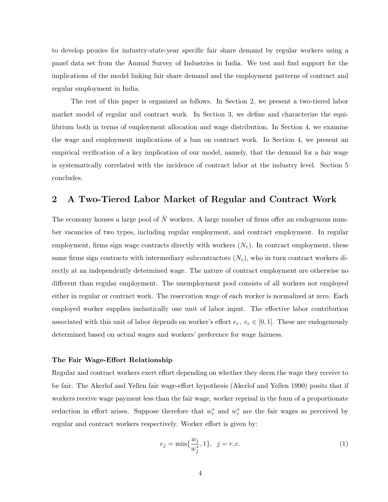to develop proxies for industry-state-year specific fair share demand by regular workers using a panel data set from the Annual Survey of Industries in India. We test and find support for the implications of the model linking fair share demand and the employment patterns of contract and regular employment in India.

The rest of this paper is organized as follows. In Section 2, we present a two-tiered labor market model of regular and contract work. In Section 3, we define and characterize the equilibrium both in terms of employment allocation and wage distribution. In Section 4, we examine the wage and employment implications of a ban on contract work. In Section 4, we present an empirical verification of a key implication of our model, namely, that the demand for a fair wage is systematically correlated with the incidence of contract labor at the industry level. Section 5 concludes.

# 2 A Two-Tiered Labor Market of Regular and Contract Work

The economy houses a large pool of  $\bar{N}$  workers. A large number of firms offer an endogenous number vacancies of two types, including regular employment, and contract employment. In regular employment, firms sign wage contracts directly with workers  $(N_r)$ . In contract employment, these same firms sign contracts with intermediary subcontractors  $(N_c)$ , who in turn contract workers directly at an independently determined wage. The nature of contract employment are otherwise no different than regular employment. The unemployment pool consists of all workers not employed either in regular or contract work. The reservation wage of each worker is normalized at zero. Each employed worker supplies inelastically one unit of labor input. The effective labor contribution associated with this unit of labor depends on worker's effort  $e_r$ ,  $e_c \in [0,1]$ . These are endogenously determined based on actual wages and workers' preference for wage fairness.

#### The Fair Wage-Effort Relationship

Regular and contract workers exert effort depending on whether they deem the wage they receive to be fair. The Akerlof and Yellen fair wage-effort hypothesis (Akerlof and Yellen 1990) posits that if workers receive wage payment less than the fair wage, worker reprisal in the form of a proportionate reduction in effort arises. Suppose therefore that  $w_r^*$  and  $w_c^*$  are the fair wages as perceived by regular and contract workers respectively. Worker effort is given by:

$$
e_j = \min\{\frac{w_j}{w_j^*}, 1\}, \ \ j = r, c. \tag{1}
$$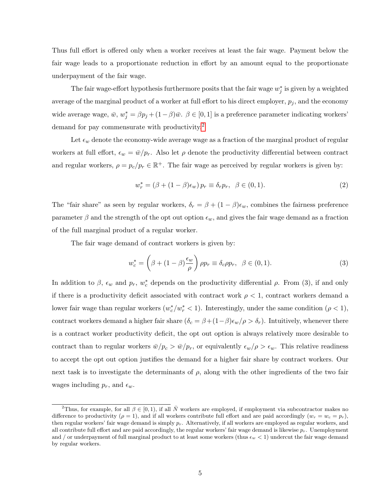Thus full effort is offered only when a worker receives at least the fair wage. Payment below the fair wage leads to a proportionate reduction in effort by an amount equal to the proportionate underpayment of the fair wage.

The fair wage-effort hypothesis furthermore posits that the fair wage  $w_j^*$  is given by a weighted average of the marginal product of a worker at full effort to his direct employer,  $p_j$ , and the economy wide average wage,  $\bar{w}$ ,  $w_j^* = \beta p_j + (1 - \beta)\bar{w}$ .  $\beta \in [0, 1]$  is a preference parameter indicating workers' demand for pay commensurate with productivity.<sup>[2](#page-0-0)</sup>

Let  $\epsilon_w$  denote the economy-wide average wage as a fraction of the marginal product of regular workers at full effort,  $\epsilon_w = \bar{w}/p_r$ . Also let  $\rho$  denote the productivity differential between contract and regular workers,  $\rho = p_c/p_r \in \mathbb{R}^+$ . The fair wage as perceived by regular workers is given by:

$$
w_r^* = (\beta + (1 - \beta)\epsilon_w) p_r \equiv \delta_r p_r, \ \ \beta \in (0, 1).
$$
 (2)

The "fair share" as seen by regular workers,  $\delta_r = \beta + (1 - \beta)\epsilon_w$ , combines the fairness preference parameter  $\beta$  and the strength of the opt out option  $\epsilon_w$ , and gives the fair wage demand as a fraction of the full marginal product of a regular worker.

The fair wage demand of contract workers is given by:

$$
w_c^* = \left(\beta + (1 - \beta)\frac{\epsilon_w}{\rho}\right)\rho p_r \equiv \delta_c \rho p_r, \ \ \beta \in (0, 1). \tag{3}
$$

In addition to  $\beta$ ,  $\epsilon_w$  and  $p_r$ ,  $w_c^*$  depends on the productivity differential  $\rho$ . From (3), if and only if there is a productivity deficit associated with contract work  $\rho < 1$ , contract workers demand a lower fair wage than regular workers  $(w_c^*/w_r^* < 1)$ . Interestingly, under the same condition  $(\rho < 1)$ , contract workers demand a higher fair share  $(\delta_c = \beta + (1-\beta)\epsilon_w/\rho > \delta_r)$ . Intuitively, whenever there is a contract worker productivity deficit, the opt out option is always relatively more desirable to contract than to regular workers  $\bar{w}/p_c > \bar{w}/p_r$ , or equivalently  $\epsilon_w/\rho > \epsilon_w$ . This relative readiness to accept the opt out option justifies the demand for a higher fair share by contract workers. Our next task is to investigate the determinants of  $\rho$ , along with the other ingredients of the two fair wages including  $p_r$ , and  $\epsilon_w$ .

<sup>&</sup>lt;sup>2</sup>Thus, for example, for all  $\beta \in [0, 1)$ , if all  $\overline{N}$  workers are employed, if employment via subcontractor makes no difference to productivity  $(\rho = 1)$ , and if all workers contribute full effort and are paid accordingly  $(w_r = w_c = p_r)$ , then regular workers' fair wage demand is simply  $p_r$ . Alternatively, if all workers are employed as regular workers, and all contribute full effort and are paid accordingly, the regular workers' fair wage demand is likewise  $p_r$ . Unemployment and / or underpayment of full marginal product to at least some workers (thus  $\epsilon_w < 1$ ) undercut the fair wage demand by regular workers.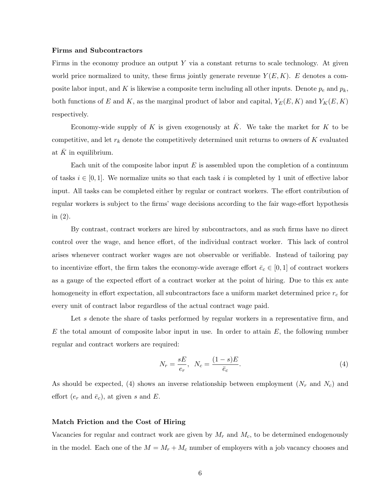#### Firms and Subcontractors

Firms in the economy produce an output  $Y$  via a constant returns to scale technology. At given world price normalized to unity, these firms jointly generate revenue  $Y(E, K)$ . E denotes a composite labor input, and K is likewise a composite term including all other inputs. Denote  $p_e$  and  $p_k$ , both functions of E and K, as the marginal product of labor and capital,  $Y_E(E, K)$  and  $Y_K(E, K)$ respectively.

Economy-wide supply of K is given exogenously at  $\overline{K}$ . We take the market for K to be competitive, and let  $r_k$  denote the competitively determined unit returns to owners of K evaluated at  $K$  in equilibrium.

Each unit of the composite labor input  $E$  is assembled upon the completion of a continuum of tasks  $i \in [0, 1]$ . We normalize units so that each task i is completed by 1 unit of effective labor input. All tasks can be completed either by regular or contract workers. The effort contribution of regular workers is subject to the firms' wage decisions according to the fair wage-effort hypothesis in (2).

By contrast, contract workers are hired by subcontractors, and as such firms have no direct control over the wage, and hence effort, of the individual contract worker. This lack of control arises whenever contract worker wages are not observable or verifiable. Instead of tailoring pay to incentivize effort, the firm takes the economy-wide average effort  $\bar{e}_c \in [0,1]$  of contract workers as a gauge of the expected effort of a contract worker at the point of hiring. Due to this ex ante homogeneity in effort expectation, all subcontractors face a uniform market determined price  $r_c$  for every unit of contract labor regardless of the actual contract wage paid.

Let s denote the share of tasks performed by regular workers in a representative firm, and  $E$  the total amount of composite labor input in use. In order to attain  $E$ , the following number regular and contract workers are required:

$$
N_r = \frac{sE}{e_r}, \quad N_c = \frac{(1-s)E}{\bar{e}_c}.\tag{4}
$$

As should be expected, (4) shows an inverse relationship between employment  $(N_r$  and  $N_c)$  and effort  $(e_r \text{ and } \bar{e}_c)$ , at given s and E.

## Match Friction and the Cost of Hiring

Vacancies for regular and contract work are given by  $M_r$  and  $M_c$ , to be determined endogenously in the model. Each one of the  $M = M_r + M_c$  number of employers with a job vacancy chooses and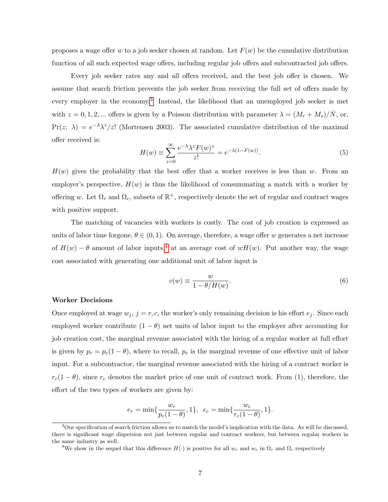proposes a wage offer w to a job seeker chosen at random. Let  $F(w)$  be the cumulative distribution function of all such expected wage offers, including regular job offers and subcontracted job offers.

Every job seeker rates any and all offers received, and the best job offer is chosen. We assume that search friction prevents the job seeker from receiving the full set of offers made by every employer in the economy.<sup>[3](#page-0-0)</sup> Instead, the likelihood that an unemployed job seeker is met with  $z = 0, 1, 2, ...$  offers is given by a Poisson distribution with parameter  $\lambda = (M_r + M_s)/\bar{N}$ , or,  $Pr(z; \lambda) = e^{-\lambda} \lambda^z / z!$  (Mortensen 2003). The associated cumulative distribution of the maximal offer received is:

$$
H(w) \equiv \sum_{z=0}^{\infty} \frac{e^{-\lambda} \lambda^z F(w)^z}{z!} = e^{-\lambda(1 - F(w))}.
$$
 (5)

 $H(w)$  gives the probability that the best offer that a worker receives is less than w. From an employer's perspective,  $H(w)$  is thus the likelihood of consummating a match with a worker by offering w. Let  $\Omega_r$  and  $\Omega_c$ , subsets of  $\mathbb{R}^+$ , respectively denote the set of regular and contract wages with positive support.

The matching of vacancies with workers is costly. The cost of job creation is expressed as units of labor time forgone,  $\theta \in (0,1)$ . On average, therefore, a wage offer w generates a net increase of  $H(w) - \theta$  amount of labor inputs,<sup>[4](#page-0-0)</sup> at an average cost of wH(w). Put another way, the wage cost associated with generating one additional unit of labor input is

$$
c(w) \equiv \frac{w}{1 - \theta/H(w)}.\tag{6}
$$

#### Worker Decisions

Once employed at wage  $w_j$ ,  $j = r, c$ , the worker's only remaining decision is his effort  $e_j$ . Since each employed worker contribute  $(1 - \theta)$  net units of labor input to the employer after accounting for job creation cost, the marginal revenue associated with the hiring of a regular worker at full effort is given by  $p_r = p_e(1 - \theta)$ , where to recall,  $p_e$  is the marginal revenue of one effective unit of labor input. For a subcontractor, the marginal revenue associated with the hiring of a contract worker is  $r_c(1 - \theta)$ , since  $r_c$  denotes the market price of one unit of contract work. From (1), therefore, the effort of the two types of workers are given by:

$$
e_r = \min\{\frac{w_r}{p_e(1-\theta)}, 1\}, e_c = \min\{\frac{w_c}{r_c(1-\theta)}, 1\}.
$$

 $3$ Our specification of search friction allows us to match the model's implication with the data. As will be discussed, there is significant wage dispersion not just between regular and contract workers, but between regular workers in the same industry as well.

<sup>&</sup>lt;sup>4</sup>We show in the sequel that this difference  $H(\cdot)$  is positive for all  $w_r$  and  $w_c$  in  $\Omega_r$  and  $\Omega_c$  respectively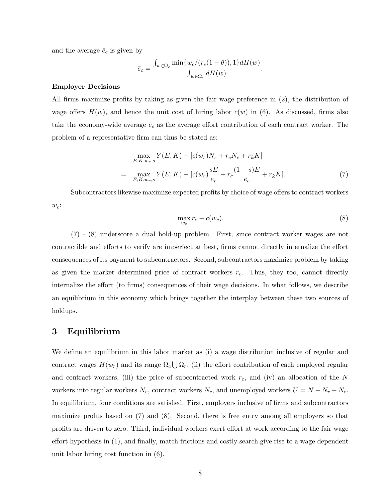and the average  $\bar{e}_c$  is given by

$$
\bar{e}_c = \frac{\int_{w \in \Omega_c} \min\{w_c/(r_c(1-\theta)),1\} dH(w)}{\int_{w \in \Omega_c} dH(w)}
$$

#### Employer Decisions

All firms maximize profits by taking as given the fair wage preference in (2), the distribution of wage offers  $H(w)$ , and hence the unit cost of hiring labor  $c(w)$  in (6). As discussed, firms also take the economy-wide average  $\bar{e}_c$  as the average effort contribution of each contract worker. The problem of a representative firm can thus be stated as:

$$
\max_{E,K,w_r,s} Y(E,K) - [c(w_r)N_r + r_cN_c + r_kK]
$$
\n
$$
= \max_{E,K,w_r,s} Y(E,K) - [c(w_r)\frac{sE}{e_r} + r_c\frac{(1-s)E}{\bar{e}_c} + r_kK].
$$
\n(7)

Subcontractors likewise maximize expected profits by choice of wage offers to contract workers  $w_c$ :

$$
\max_{w_c} r_c - c(w_c). \tag{8}
$$

.

(7) - (8) underscore a dual hold-up problem. First, since contract worker wages are not contractible and efforts to verify are imperfect at best, firms cannot directly internalize the effort consequences of its payment to subcontractors. Second, subcontractors maximize problem by taking as given the market determined price of contract workers  $r_c$ . Thus, they too, cannot directly internalize the effort (to firms) consequences of their wage decisions. In what follows, we describe an equilibrium in this economy which brings together the interplay between these two sources of holdups.

## 3 Equilibrium

We define an equilibrium in this labor market as (i) a wage distribution inclusive of regular and contract wages  $H(w_r)$  and its range  $\Omega_c \bigcup \Omega_r$ , (ii) the effort contribution of each employed regular and contract workers, (iii) the price of subcontracted work  $r_c$ , and (iv) an allocation of the N workers into regular workers  $N_r$ , contract workers  $N_c$ , and unemployed workers  $U = N - N_r - N_c$ . In equilibrium, four conditions are satisfied. First, employers inclusive of firms and subcontractors maximize profits based on (7) and (8). Second, there is free entry among all employers so that profits are driven to zero. Third, individual workers exert effort at work according to the fair wage effort hypothesis in (1), and finally, match frictions and costly search give rise to a wage-dependent unit labor hiring cost function in (6).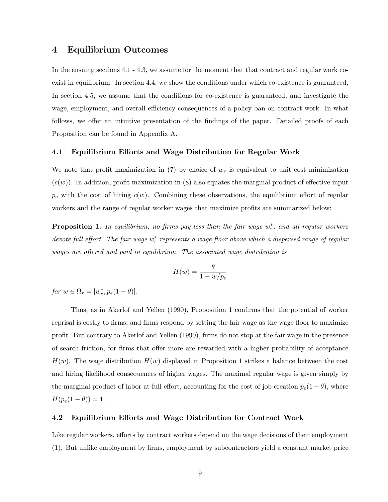## 4 Equilibrium Outcomes

In the ensuing sections 4.1 - 4.3, we assume for the moment that that contract and regular work coexist in equilibrium. In section 4.4, we show the conditions under which co-existence is guaranteed, In section 4.5, we assume that the conditions for co-existence is guaranteed, and investigate the wage, employment, and overall efficiency consequences of a policy ban on contract work. In what follows, we offer an intuitive presentation of the findings of the paper. Detailed proofs of each Proposition can be found in Appendix A.

## 4.1 Equilibrium Efforts and Wage Distribution for Regular Work

We note that profit maximization in (7) by choice of  $w_r$  is equivalent to unit cost minimization  $(c(w))$ . In addition, profit maximization in (8) also equates the marginal product of effective input  $p_e$  with the cost of hiring  $c(w)$ . Combining these observations, the equilibrium effort of regular workers and the range of regular worker wages that maximize profits are summarized below:

**Proposition 1.** In equilibrium, no firms pay less than the fair wage  $w_r^*$ , and all regular workers devote full effort. The fair wage  $w_r^*$  represents a wage floor above which a dispersed range of regular wages are offered and paid in equilibrium. The associated wage distribution is

$$
H(w) = \frac{\theta}{1 - w/p_e}
$$

for  $w \in \Omega_r = [w_r^*, p_e(1-\theta)].$ 

Thus, as in Akerlof and Yellen (1990), Proposition 1 confirms that the potential of worker reprisal is costly to firms, and firms respond by setting the fair wage as the wage floor to maximize profit. But contrary to Akerlof and Yellen (1990), firms do not stop at the fair wage in the presence of search friction, for firms that offer more are rewarded with a higher probability of acceptance  $H(w)$ . The wage distribution  $H(w)$  displayed in Proposition 1 strikes a balance between the cost and hiring likelihood consequences of higher wages. The maximal regular wage is given simply by the marginal product of labor at full effort, accounting for the cost of job creation  $p_e(1 - \theta)$ , where  $H(p_e(1 - \theta)) = 1.$ 

## 4.2 Equilibrium Efforts and Wage Distribution for Contract Work

Like regular workers, efforts by contract workers depend on the wage decisions of their employment (1). But unlike employment by firms, employment by subcontractors yield a constant market price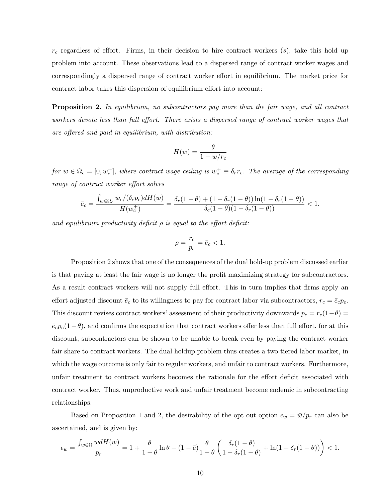$r_c$  regardless of effort. Firms, in their decision to hire contract workers  $(s)$ , take this hold up problem into account. These observations lead to a dispersed range of contract worker wages and correspondingly a dispersed range of contract worker effort in equilibrium. The market price for contract labor takes this dispersion of equilibrium effort into account:

**Proposition 2.** In equilibrium, no subcontractors pay more than the fair wage, and all contract workers devote less than full effort. There exists a dispersed range of contract worker wages that are offered and paid in equilibrium, with distribution:

$$
H(w) = \frac{\theta}{1 - w/r_c}
$$

for  $w \in \Omega_c = [0, w_c^+]$ , where contract wage ceiling is  $w_c^+ \equiv \delta_r r_c$ . The average of the corresponding range of contract worker effort solves

$$
\bar{e}_c=\frac{\int_{w\in\Omega_c}w_c/(\delta_c p_c)dH(w)}{H(w_c^+)}=\frac{\delta_r(1-\theta)+(1-\delta_r(1-\theta))\ln(1-\delta_r(1-\theta))}{\delta_c(1-\theta)(1-\delta_r(1-\theta))}<1,
$$

and equilibrium productivity deficit  $\rho$  is equal to the effort deficit:

$$
\rho = \frac{r_c}{p_e} = \bar{e}_c < 1.
$$

Proposition 2 shows that one of the consequences of the dual hold-up problem discussed earlier is that paying at least the fair wage is no longer the profit maximizing strategy for subcontractors. As a result contract workers will not supply full effort. This in turn implies that firms apply an effort adjusted discount  $\bar{e}_c$  to its willingness to pay for contract labor via subcontractors,  $r_c = \bar{e}_c p_e$ . This discount revises contract workers' assessment of their productivity downwards  $p_c = r_c(1-\theta)$  $\bar{\epsilon}_c p_e(1-\theta)$ , and confirms the expectation that contract workers offer less than full effort, for at this discount, subcontractors can be shown to be unable to break even by paying the contract worker fair share to contract workers. The dual holdup problem thus creates a two-tiered labor market, in which the wage outcome is only fair to regular workers, and unfair to contract workers. Furthermore, unfair treatment to contract workers becomes the rationale for the effort deficit associated with contract worker. Thus, unproductive work and unfair treatment become endemic in subcontracting relationships.

Based on Proposition 1 and 2, the desirability of the opt out option  $\epsilon_w = \bar{w}/p_r$  can also be ascertained, and is given by:

$$
\epsilon_w = \frac{\int_{w \in \Omega} w dH(w)}{p_r} = 1 + \frac{\theta}{1-\theta} \ln \theta - (1-\bar{e}) \frac{\theta}{1-\theta} \left( \frac{\delta_r (1-\theta)}{1-\delta_r (1-\theta)} + \ln (1-\delta_r (1-\theta)) \right) < 1.
$$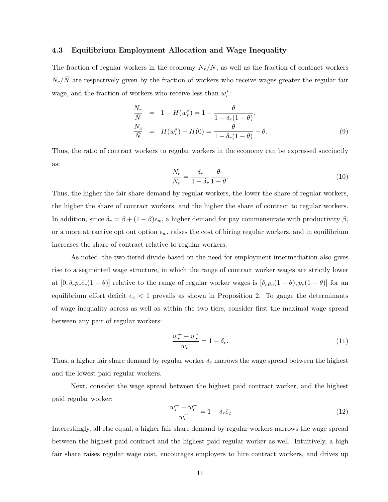## 4.3 Equilibrium Employment Allocation and Wage Inequality

The fraction of regular workers in the economy  $N_r/\bar{N}$ , as well as the fraction of contract workers  $N_c/\bar{N}$  are respectively given by the fraction of workers who receive wages greater the regular fair wage, and the fraction of workers who receive less than  $w_r^*$ :

$$
\frac{N_r}{\bar{N}} = 1 - H(w_r^*) = 1 - \frac{\theta}{1 - \delta_r(1 - \theta)}, \n\frac{N_c}{\bar{N}} = H(w_r^*) - H(0) = \frac{\theta}{1 - \delta_r(1 - \theta)} - \theta.
$$
\n(9)

Thus, the ratio of contract workers to regular workers in the economy can be expressed succinctly as:

$$
\frac{N_c}{N_r} = \frac{\delta_r}{1 - \delta_r} \frac{\theta}{1 - \theta}.
$$
\n(10)

Thus, the higher the fair share demand by regular workers, the lower the share of regular workers, the higher the share of contract workers, and the higher the share of contract to regular workers. In addition, since  $\delta_r = \beta + (1 - \beta)\epsilon_w$ , a higher demand for pay commensurate with productivity  $\beta$ , or a more attractive opt out option  $\epsilon_w$ , raises the cost of hiring regular workers, and in equilibrium increases the share of contract relative to regular workers.

As noted, the two-tiered divide based on the need for employment intermediation also gives rise to a segmented wage structure, in which the range of contract worker wages are strictly lower at  $[0, \delta_r p_e \bar{e}_c(1-\theta)]$  relative to the range of regular worker wages is  $[\delta_r p_e(1-\theta), p_e(1-\theta)]$  for an equilibrium effort deficit  $\bar{e}_c < 1$  prevails as shown in Proposition 2. To gauge the determinants of wage inequality across as well as within the two tiers, consider first the maximal wage spread between any pair of regular workers:

$$
\frac{w_r^+ - w_r^*}{w_r^+} = 1 - \delta_r. \tag{11}
$$

Thus, a higher fair share demand by regular worker  $\delta_r$  narrows the wage spread between the highest and the lowest paid regular workers.

Next, consider the wage spread between the highest paid contract worker, and the highest paid regular worker:

$$
\frac{w_r^+ - w_c^+}{w_r^+} = 1 - \delta_r \bar{e}_c \tag{12}
$$

Interestingly, all else equal, a higher fair share demand by regular workers narrows the wage spread between the highest paid contract and the highest paid regular worker as well. Intuitively, a high fair share raises regular wage cost, encourages employers to hire contract workers, and drives up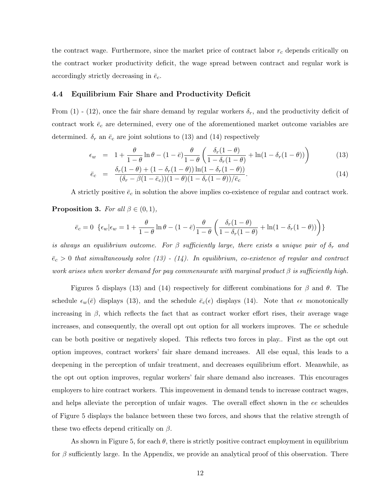the contract wage. Furthermore, since the market price of contract labor  $r_c$  depends critically on the contract worker productivity deficit, the wage spread between contract and regular work is accordingly strictly decreasing in  $\bar{e}_c$ .

### 4.4 Equilibrium Fair Share and Productivity Deficit

From (1) - (12), once the fair share demand by regular workers  $\delta_r$ , and the productivity deficit of contract work  $\bar{e}_c$  are determined, every one of the aforementioned market outcome variables are determined.  $\delta_r$  an  $\bar{e}_c$  are joint solutions to (13) and (14) respectively

$$
\epsilon_w = 1 + \frac{\theta}{1-\theta} \ln \theta - (1-\bar{e}) \frac{\theta}{1-\theta} \left( \frac{\delta_r (1-\theta)}{1-\delta_r (1-\theta)} + \ln(1-\delta_r (1-\theta)) \right)
$$
(13)

$$
\bar{e}_c = \frac{\delta_r (1 - \theta) + (1 - \delta_r (1 - \theta)) \ln(1 - \delta_r (1 - \theta))}{(\delta_r - \beta (1 - \bar{e}_c))(1 - \theta)(1 - \delta_r (1 - \theta))/\bar{e}_c}.
$$
\n(14)

A strictly positive  $\bar{e}_c$  in solution the above implies co-existence of regular and contract work.

## **Proposition 3.** For all  $\beta \in (0,1)$ ,

$$
\bar{e}_c = 0 \left\{ \epsilon_w | \epsilon_w = 1 + \frac{\theta}{1 - \theta} \ln \theta - (1 - \bar{e}) \frac{\theta}{1 - \theta} \left( \frac{\delta_r (1 - \theta)}{1 - \delta_r (1 - \theta)} + \ln(1 - \delta_r (1 - \theta)) \right) \right\}
$$

is always an equilibrium outcome. For  $\beta$  sufficiently large, there exists a unique pair of  $\delta_r$  and  $\bar{e}_c > 0$  that simultaneously solve (13) - (14). In equilibrium, co-existence of regular and contract work arises when worker demand for pay commensurate with marginal product  $\beta$  is sufficiently high.

Figures 5 displays (13) and (14) respectively for different combinations for  $\beta$  and  $\theta$ . The schedule  $\epsilon_w(\bar{e})$  displays (13), and the schedule  $\bar{e}_c(\epsilon)$  displays (14). Note that  $\epsilon \epsilon$  monotonically increasing in  $\beta$ , which reflects the fact that as contract worker effort rises, their average wage increases, and consequently, the overall opt out option for all workers improves. The ee schedule can be both positive or negatively sloped. This reflects two forces in play.. First as the opt out option improves, contract workers' fair share demand increases. All else equal, this leads to a deepening in the perception of unfair treatment, and decreases equilibrium effort. Meanwhile, as the opt out option improves, regular workers' fair share demand also increases. This encourages employers to hire contract workers. This improvement in demand tends to increase contract wages, and helps alleviate the perception of unfair wages. The overall effect shown in the ee scheuldes of Figure 5 displays the balance between these two forces, and shows that the relative strength of these two effects depend critically on  $\beta$ .

As shown in Figure 5, for each  $\theta$ , there is strictly positive contract employment in equilibrium for  $\beta$  sufficiently large. In the Appendix, we provide an analytical proof of this observation. There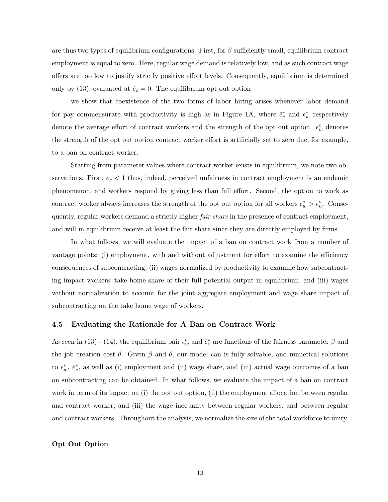are thus two types of equilibrium configurations. First, for  $\beta$  sufficiently small, equilibrium contract employment is equal to zero. Here, regular wage demand is relatively low, and as such contract wage offers are too low to justify strictly positive effort levels. Consequently, equilibrium is determined only by (13), evaluated at  $\bar{e}_c = 0$ . The equilibrium opt out option

we show that coexistence of the two forms of labor hiring arises whenever labor demand for pay commensurate with productivity is high as in Figure 1A, where  $\bar{e}_c^*$  and  $\epsilon_w^*$  respectively denote the average effort of contract workers and the strength of the opt out option.  $\epsilon_w^o$  denotes the strength of the opt out option contract worker effort is artificially set to zero due, for example, to a ban on contract worker.

Starting from parameter values where contract worker exists in equilibrium, we note two observations. First,  $\bar{e}_c < 1$  thus, indeed, perceived unfairness in contract employment is an endemic phenomenon, and workers respond by giving less than full effort. Second, the option to work as contract worker always increases the strength of the opt out option for all workers  $\epsilon_w^* > \epsilon_w^o$ . Consequently, regular workers demand a strictly higher *fair share* in the presence of contract employment, and will in equilibrium receive at least the fair share since they are directly employed by firms.

In what follows, we will evaluate the impact of a ban on contract work from a number of vantage points: (i) employment, with and without adjustment for effort to examine the efficiency consequences of subcontracting; (ii) wages normalized by productivity to examine how subcontracting impact workers' take home share of their full potential output in equilibrium, and (iii) wages without normalization to account for the joint aggregate employment and wage share impact of subcontracting on the take home wage of workers.

## 4.5 Evaluating the Rationale for A Ban on Contract Work

As seen in (13) - (14), the equilibrium pair  $\epsilon_w^*$  and  $\bar{e}_c^*$  are functions of the fairness parameter  $\beta$  and the job creation cost  $\theta$ . Given  $\beta$  and  $\theta$ , our model can is fully solvable, and numerical solutions to  $\epsilon_w^*, \bar{e}_c^*$ , as well as (i) employment and (ii) wage share, and (iii) actual wage outcomes of a ban on subcontracting can be obtained. In what follows, we evaluate the impact of a ban on contract work in term of its impact on (i) the opt out option, (ii) the employment allocation between regular and contract worker, and (iii) the wage inequality between regular workers, and between regular and contract workers. Throughout the analysis, we normalize the size of the total workforce to unity.

## Opt Out Option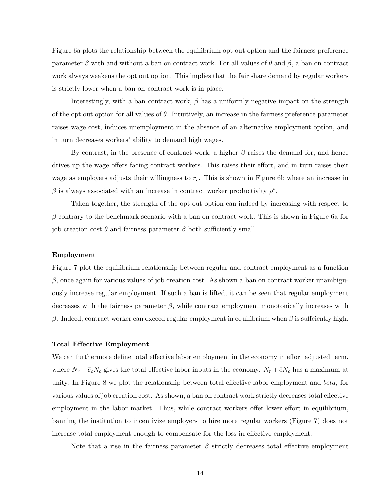Figure 6a plots the relationship between the equilibrium opt out option and the fairness preference parameter  $\beta$  with and without a ban on contract work. For all values of  $\theta$  and  $\beta$ , a ban on contract work always weakens the opt out option. This implies that the fair share demand by regular workers is strictly lower when a ban on contract work is in place.

Interestingly, with a ban contract work,  $\beta$  has a uniformly negative impact on the strength of the opt out option for all values of  $\theta$ . Intuitively, an increase in the fairness preference parameter raises wage cost, induces unemployment in the absence of an alternative employment option, and in turn decreases workers' ability to demand high wages.

By contrast, in the presence of contract work, a higher  $\beta$  raises the demand for, and hence drives up the wage offers facing contract workers. This raises their effort, and in turn raises their wage as employers adjusts their willingness to  $r_c$ . This is shown in Figure 6b where an increase in  $β$  is always associated with an increase in contract worker productivity  $ρ^*$ .

Taken together, the strength of the opt out option can indeed by increasing with respect to  $\beta$  contrary to the benchmark scenario with a ban on contract work. This is shown in Figure 6a for job creation cost θ and fairness parameter  $β$  both sufficiently small.

#### Employment

Figure 7 plot the equilibrium relationship between regular and contract employment as a function  $β$ , once again for various values of job creation cost. As shown a ban on contract worker unambiguously increase regular employment. If such a ban is lifted, it can be seen that regular employment decreases with the fairness parameter  $\beta$ , while contract employment monotonically increases with β. Indeed, contract worker can exceed regular employment in equilibrium when β is suffciently high.

#### Total Effective Employment

We can furthermore define total effective labor employment in the economy in effort adjusted term, where  $N_r + \bar{e}_c N_c$  gives the total effective labor inputs in the economy.  $N_r + \bar{e} N_c$  has a maximum at unity. In Figure 8 we plot the relationship between total effective labor employment and beta, for various values of job creation cost. As shown, a ban on contract work strictly decreases total effective employment in the labor market. Thus, while contract workers offer lower effort in equilibrium, banning the institution to incentivize employers to hire more regular workers (Figure 7) does not increase total employment enough to compensate for the loss in effective employment.

Note that a rise in the fairness parameter  $\beta$  strictly decreases total effective employment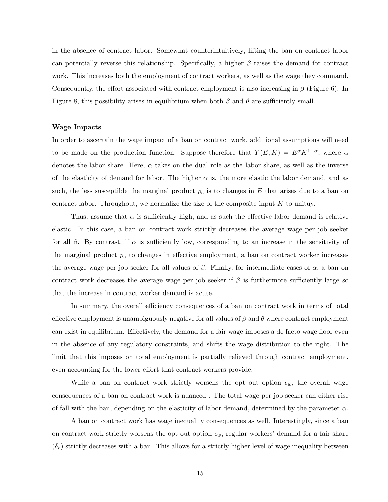in the absence of contract labor. Somewhat counterintuitively, lifting the ban on contract labor can potentially reverse this relationship. Specifically, a higher  $\beta$  raises the demand for contract work. This increases both the employment of contract workers, as well as the wage they command. Consequently, the effort associated with contract employment is also increasing in  $\beta$  (Figure 6). In Figure 8, this possibility arises in equilibrium when both  $\beta$  and  $\theta$  are sufficiently small.

#### Wage Impacts

In order to ascertain the wage impact of a ban on contract work, additional assumptions will need to be made on the production function. Suppose therefore that  $Y(E, K) = E^{\alpha} K^{1-\alpha}$ , where  $\alpha$ denotes the labor share. Here,  $\alpha$  takes on the dual role as the labor share, as well as the inverse of the elasticity of demand for labor. The higher  $\alpha$  is, the more elastic the labor demand, and as such, the less susceptible the marginal product  $p_e$  is to changes in E that arises due to a ban on contract labor. Throughout, we normalize the size of the composite input  $K$  to unituy.

Thus, assume that  $\alpha$  is sufficiently high, and as such the effective labor demand is relative elastic. In this case, a ban on contract work strictly decreases the average wage per job seeker for all  $\beta$ . By contrast, if  $\alpha$  is sufficiently low, corresponding to an increase in the sensitivity of the marginal product  $p_e$  to changes in effective employment, a ban on contract worker increases the average wage per job seeker for all values of  $\beta$ . Finally, for intermediate cases of  $\alpha$ , a ban on contract work decreases the average wage per job seeker if  $\beta$  is furthermore sufficiently large so that the increase in contract worker demand is acute.

In summary, the overall efficiency consequences of a ban on contract work in terms of total effective employment is unambiguously negative for all values of  $\beta$  and  $\theta$  where contract employment can exist in equilibrium. Effectively, the demand for a fair wage imposes a de facto wage floor even in the absence of any regulatory constraints, and shifts the wage distribution to the right. The limit that this imposes on total employment is partially relieved through contract employment, even accounting for the lower effort that contract workers provide.

While a ban on contract work strictly worsens the opt out option  $\epsilon_w$ , the overall wage consequences of a ban on contract work is nuanced . The total wage per job seeker can either rise of fall with the ban, depending on the elasticity of labor demand, determined by the parameter  $\alpha$ .

A ban on contract work has wage inequality consequences as well. Interestingly, since a ban on contract work strictly worsens the opt out option  $\epsilon_w$ , regular workers' demand for a fair share  $(\delta_r)$  strictly decreases with a ban. This allows for a strictly higher level of wage inequality between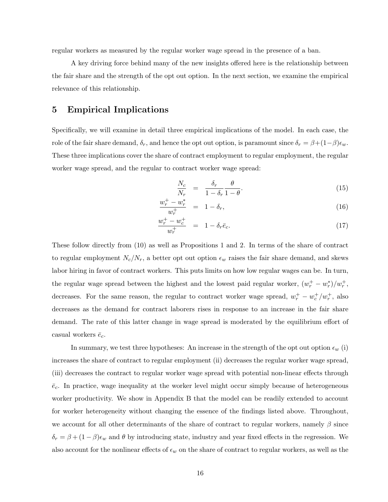regular workers as measured by the regular worker wage spread in the presence of a ban.

A key driving force behind many of the new insights offered here is the relationship between the fair share and the strength of the opt out option. In the next section, we examine the empirical relevance of this relationship.

# 5 Empirical Implications

Specifically, we will examine in detail three empirical implications of the model. In each case, the role of the fair share demand,  $\delta_r$ , and hence the opt out option, is paramount since  $\delta_r = \beta + (1-\beta)\epsilon_w$ . These three implications cover the share of contract employment to regular employment, the regular worker wage spread, and the regular to contract worker wage spread:

$$
\frac{N_c}{N_r} = \frac{\delta_r}{1 - \delta_r} \frac{\theta}{1 - \theta}.
$$
\n(15)

$$
\frac{w_r^+ - w_r^*}{w_r^+} = 1 - \delta_r,\tag{16}
$$

$$
\frac{w_r^+ - w_c^+}{w_r^+} = 1 - \delta_r \bar{e}_c.
$$
\n(17)

These follow directly from (10) as well as Propositions 1 and 2. In terms of the share of contract to regular employment  $N_c/N_r$ , a better opt out option  $\epsilon_w$  raises the fair share demand, and skews labor hiring in favor of contract workers. This puts limits on how low regular wages can be. In turn, the regular wage spread between the highest and the lowest paid regular worker,  $(w_r^+ - w_r^*)/w_r^+$ , decreases. For the same reason, the regular to contract worker wage spread,  $w_r^+ - w_c^+ / w_r^+$ , also decreases as the demand for contract laborers rises in response to an increase in the fair share demand. The rate of this latter change in wage spread is moderated by the equilibrium effort of casual workers  $\bar{e}_c$ .

In summary, we test three hypotheses: An increase in the strength of the opt out option  $\epsilon_w$  (i) increases the share of contract to regular employment (ii) decreases the regular worker wage spread, (iii) decreases the contract to regular worker wage spread with potential non-linear effects through  $\bar{e}_c$ . In practice, wage inequality at the worker level might occur simply because of heterogeneous worker productivity. We show in Appendix B that the model can be readily extended to account for worker heterogeneity without changing the essence of the findings listed above. Throughout, we account for all other determinants of the share of contract to regular workers, namely  $\beta$  since  $\delta_r = \beta + (1 - \beta)\epsilon_w$  and  $\theta$  by introducing state, industry and year fixed effects in the regression. We also account for the nonlinear effects of  $\epsilon_w$  on the share of contract to regular workers, as well as the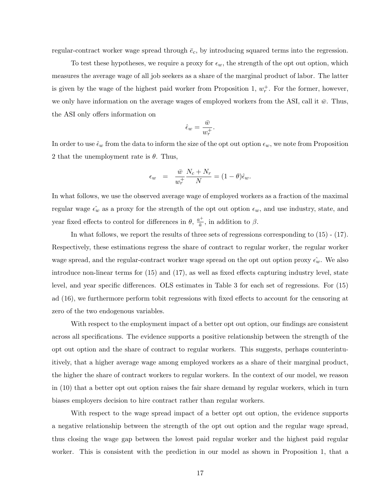regular-contract worker wage spread through  $\bar{e}_c$ , by introducing squared terms into the regression.

To test these hypotheses, we require a proxy for  $\epsilon_w$ , the strength of the opt out option, which measures the average wage of all job seekers as a share of the marginal product of labor. The latter is given by the wage of the highest paid worker from Proposition 1,  $w_r^+$ . For the former, however, we only have information on the average wages of employed workers from the ASI, call it  $\bar{w}$ . Thus, the ASI only offers information on

$$
\hat{\epsilon}_w = \frac{\bar{w}}{w_r^+}.
$$

In order to use  $\hat{\epsilon}_w$  from the data to inform the size of the opt out option  $\epsilon_w$ , we note from Proposition 2 that the unemployment rate is  $\theta$ . Thus,

$$
\epsilon_w = \frac{\bar{w}}{w_r^+} \frac{N_c + N_r}{N} = (1 - \theta)\hat{\epsilon}_w.
$$

In what follows, we use the observed average wage of employed workers as a fraction of the maximal regular wage  $\epsilon_w$  as a proxy for the strength of the opt out option  $\epsilon_w$ , and use industry, state, and year fixed effects to control for differences in  $\theta$ ,  $\frac{a^+}{a^-}$  $\frac{a^{\dagger}}{\bar{a}}$ , in addition to  $\beta$ .

In what follows, we report the results of three sets of regressions corresponding to (15) - (17). Respectively, these estimations regress the share of contract to regular worker, the regular worker wage spread, and the regular-contract worker wage spread on the opt out option proxy  $\hat{\epsilon_w}$ . We also introduce non-linear terms for (15) and (17), as well as fixed effects capturing industry level, state level, and year specific differences. OLS estimates in Table 3 for each set of regressions. For (15) ad (16), we furthermore perform tobit regressions with fixed effects to account for the censoring at zero of the two endogenous variables.

With respect to the employment impact of a better opt out option, our findings are consistent across all specifications. The evidence supports a positive relationship between the strength of the opt out option and the share of contract to regular workers. This suggests, perhaps counterintuitively, that a higher average wage among employed workers as a share of their marginal product, the higher the share of contract workers to regular workers. In the context of our model, we reason in (10) that a better opt out option raises the fair share demand by regular workers, which in turn biases employers decision to hire contract rather than regular workers.

With respect to the wage spread impact of a better opt out option, the evidence supports a negative relationship between the strength of the opt out option and the regular wage spread, thus closing the wage gap between the lowest paid regular worker and the highest paid regular worker. This is consistent with the prediction in our model as shown in Proposition 1, that a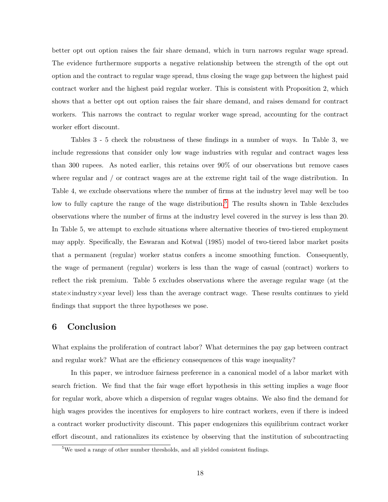better opt out option raises the fair share demand, which in turn narrows regular wage spread. The evidence furthermore supports a negative relationship between the strength of the opt out option and the contract to regular wage spread, thus closing the wage gap between the highest paid contract worker and the highest paid regular worker. This is consistent with Proposition 2, which shows that a better opt out option raises the fair share demand, and raises demand for contract workers. This narrows the contract to regular worker wage spread, accounting for the contract worker effort discount.

Tables 3 - 5 check the robustness of these findings in a number of ways. In Table 3, we include regressions that consider only low wage industries with regular and contract wages less than 300 rupees. As noted earlier, this retains over 90% of our observations but remove cases where regular and / or contract wages are at the extreme right tail of the wage distribution. In Table 4, we exclude observations where the number of firms at the industry level may well be too low to fully capture the range of the wage distribution.<sup>[5](#page-0-0)</sup> The results shown in Table 4excludes observations where the number of firms at the industry level covered in the survey is less than 20. In Table 5, we attempt to exclude situations where alternative theories of two-tiered employment may apply. Specifically, the Eswaran and Kotwal (1985) model of two-tiered labor market posits that a permanent (regular) worker status confers a income smoothing function. Consequently, the wage of permanent (regular) workers is less than the wage of casual (contract) workers to reflect the risk premium. Table 5 excludes observations where the average regular wage (at the state×industry×year level) less than the average contract wage. These results continues to yield findings that support the three hypotheses we pose.

## 6 Conclusion

What explains the proliferation of contract labor? What determines the pay gap between contract and regular work? What are the efficiency consequences of this wage inequality?

In this paper, we introduce fairness preference in a canonical model of a labor market with search friction. We find that the fair wage effort hypothesis in this setting implies a wage floor for regular work, above which a dispersion of regular wages obtains. We also find the demand for high wages provides the incentives for employers to hire contract workers, even if there is indeed a contract worker productivity discount. This paper endogenizes this equilibrium contract worker effort discount, and rationalizes its existence by observing that the institution of subcontracting

<sup>&</sup>lt;sup>5</sup>We used a range of other number thresholds, and all yielded consistent findings.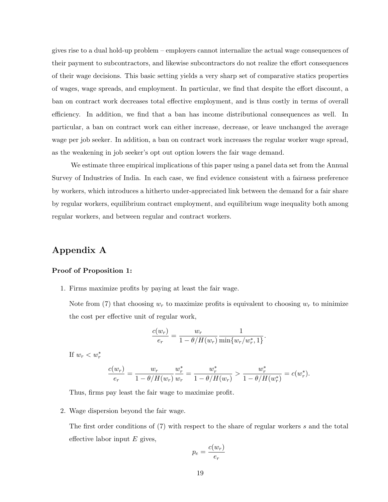gives rise to a dual hold-up problem – employers cannot internalize the actual wage consequences of their payment to subcontractors, and likewise subcontractors do not realize the effort consequences of their wage decisions. This basic setting yields a very sharp set of comparative statics properties of wages, wage spreads, and employment. In particular, we find that despite the effort discount, a ban on contract work decreases total effective employment, and is thus costly in terms of overall efficiency. In addition, we find that a ban has income distributional consequences as well. In particular, a ban on contract work can either increase, decrease, or leave unchanged the average wage per job seeker. In addition, a ban on contract work increases the regular worker wage spread, as the weakening in job seeker's opt out option lowers the fair wage demand.

We estimate three empirical implications of this paper using a panel data set from the Annual Survey of Industries of India. In each case, we find evidence consistent with a fairness preference by workers, which introduces a hitherto under-appreciated link between the demand for a fair share by regular workers, equilibrium contract employment, and equilibrium wage inequality both among regular workers, and between regular and contract workers.

# Appendix A

#### Proof of Proposition 1:

1. Firms maximize profits by paying at least the fair wage.

Note from (7) that choosing  $w_r$  to maximize profits is equivalent to choosing  $w_r$  to minimize the cost per effective unit of regular work,

$$
\frac{c(w_r)}{e_r} = \frac{w_r}{1-\theta/H(w_r)}\frac{1}{\min\{w_r/w_r^*,1\}}
$$

.

If  $w_r < w_r^*$ 

$$
\frac{c(w_r)}{e_r} = \frac{w_r}{1 - \theta/H(w_r)} \frac{w_r^*}{w_r} = \frac{w_r^*}{1 - \theta/H(w_r)} > \frac{w_r^*}{1 - \theta/H(w_r^*)} = c(w_r^*).
$$

Thus, firms pay least the fair wage to maximize profit.

2. Wage dispersion beyond the fair wage.

The first order conditions of (7) with respect to the share of regular workers s and the total effective labor input  $E$  gives,

$$
p_e = \frac{c(w_r)}{e_r}
$$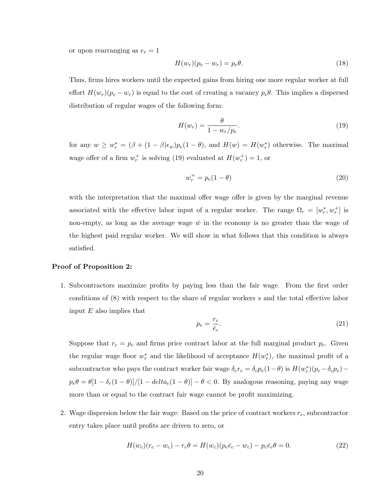or upon rearranging as  $e_r = 1$ 

$$
H(w_r)(p_e - w_r) = p_e \theta.
$$
\n(18)

Thus, firms hires workers until the expected gains from hiring one more regular worker at full effort  $H(w_r)(p_e - w_r)$  is equal to the cost of creating a vacancy  $p_e\theta$ . This implies a dispersed distribution of regular wages of the following form:

$$
H(w_r) = \frac{\theta}{1 - w_r/p_e}.\tag{19}
$$

for any  $w \ge w_r^* = (\beta + (1 - \beta)\epsilon_w)p_e(1 - \theta)$ , and  $H(w) = H(w_r^*)$  otherwise. The maximal wage offer of a firm  $w_r^+$  is solving (19) evaluated at  $H(w_r^+) = 1$ , or

$$
w_r^+ = p_e(1 - \theta) \tag{20}
$$

with the interpretation that the maximal offer wage offer is given by the marginal revenue associated with the effective labor input of a regular worker. The range  $\Omega_r = [w_r^*, w_r^+]$  is non-empty, as long as the average wage  $\bar{w}$  in the economy is no greater than the wage of the highest paid regular worker. We will show in what follows that this condition is always satisfied.

#### Proof of Proposition 2:

1. Subcontractors maximize profits by paying less than the fair wage. From the first order conditions of (8) with respect to the share of regular workers s and the total effective labor input  $E$  also implies that

$$
p_e = \frac{r_c}{\bar{e}_c}.\tag{21}
$$

Suppose that  $r_c = p_e$  and firms price contract labor at the full marginal product  $p_e$ . Given the regular wage floor  $w_r^*$  and the likelihood of acceptance  $H(w_r^*)$ , the maximal profit of a subcontractor who pays the contract worker fair wage  $\delta_c r_c = \delta_c p_e (1 - \theta)$  is  $H(w_r^*)(p_e - \delta_c p_e)$  $p_e \theta = \theta [1 - \delta_r (1 - \theta)] / [1 - delta_c (1 - \theta)] - \theta < 0$ . By analogous reasoning, paying any wage more than or equal to the contract fair wage cannot be profit maximizing.

2. Wage dispersion below the fair wage: Based on the price of contract workers  $r_c$ , subcontractor entry takes place until profits are driven to zero, or

$$
H(w_c)(r_c - w_c) - r_c \theta = H(w_c)(p_e \bar{e}_c - w_c) - p_c \bar{e}_c \theta = 0.
$$
\n(22)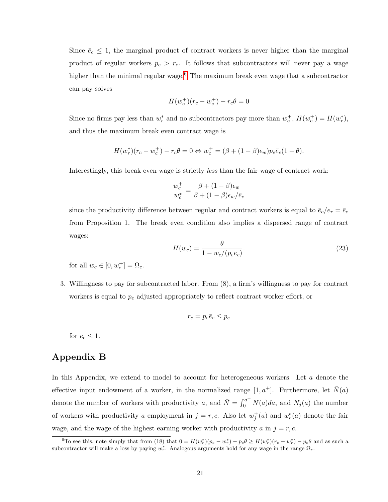Since  $\bar{e}_c \leq 1$ , the marginal product of contract workers is never higher than the marginal product of regular workers  $p_e > r_c$ . It follows that subcontractors will never pay a wage higher than the minimal regular wage.<sup>[6](#page-0-0)</sup> The maximum break even wage that a subcontractor can pay solves

$$
H(w_c^+)(r_c - w_c^+) - r_c \theta = 0
$$

Since no firms pay less than  $w_r^*$  and no subcontractors pay more than  $w_c^+$ ,  $H(w_c^+) = H(w_r^*),$ and thus the maximum break even contract wage is

$$
H(w_r^*)(r_c - w_c^+) - r_c\theta = 0 \Leftrightarrow w_c^+ = (\beta + (1 - \beta)\epsilon_w)p_e\bar{e}_c(1 - \theta).
$$

Interestingly, this break even wage is strictly less than the fair wage of contract work:

$$
\frac{w_c^+}{w_c^*} = \frac{\beta + (1 - \beta)\epsilon_w}{\beta + (1 - \beta)\epsilon_w/\bar{e}_c}
$$

since the productivity difference between regular and contract workers is equal to  $\bar{e}_c/e_r = \bar{e}_c$ from Proposition 1. The break even condition also implies a dispersed range of contract wages:

$$
H(w_c) = \frac{\theta}{1 - w_c/(p_e \bar{e}_c)}.
$$
\n(23)

for all  $w_c \in [0, w_c^+] = \Omega_c$ .

3. Willingness to pay for subcontracted labor. From (8), a firm's willingness to pay for contract workers is equal to  $p_e$  adjusted appropriately to reflect contract worker effort, or

$$
r_c = p_e \bar{e}_c \le p_e
$$

for  $\bar{e}_c \leq 1$ .

# Appendix B

In this Appendix, we extend to model to account for heterogeneous workers. Let a denote the effective input endowment of a worker, in the normalized range  $[1, a^+]$ . Furthermore, let  $\overline{N}(a)$ denote the number of workers with productivity a, and  $\overline{N} = \int_0^{a^+} N(a)da$ , and  $N_j(a)$  the number of workers with productivity a employment in  $j = r, c$ . Also let  $w_j^+(a)$  and  $w_r^*(a)$  denote the fair wage, and the wage of the highest earning worker with productivity a in  $j = r, c$ .

<sup>&</sup>lt;sup>6</sup>To see this, note simply that from (18) that  $0 = H(w_r^*)(p_e - w_r^*) - p_e\theta \ge H(w_r^*)(r_c - w_r^*) - p_e\theta$  and as such a subcontractor will make a loss by paying  $w_r^*$ . Analogous arguments hold for any wage in the range  $\Omega_r$ .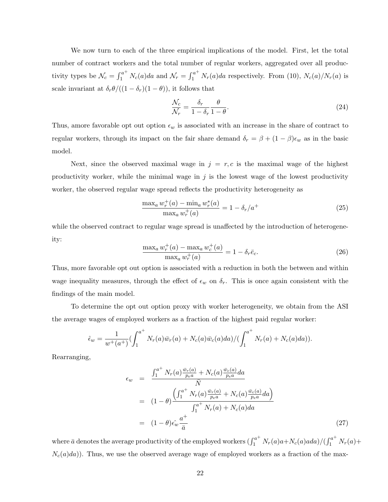We now turn to each of the three empirical implications of the model. First, let the total number of contract workers and the total number of regular workers, aggregated over all productivity types be  $\mathcal{N}_c = \int_1^{a^+} N_c(a)da$  and  $\mathcal{N}_r = \int_1^{a^+} N_r(a)da$  respectively. From (10),  $N_c(a)/N_r(a)$  is scale invariant at  $\delta_r \theta/((1 - \delta_r)(1 - \theta))$ , it follows that

$$
\frac{\mathcal{N}_c}{\mathcal{N}_r} = \frac{\delta_r}{1 - \delta_r} \frac{\theta}{1 - \theta}.
$$
\n(24)

Thus, amore favorable opt out option  $\epsilon_w$  is associated with an increase in the share of contract to regular workers, through its impact on the fair share demand  $\delta_r = \beta + (1 - \beta)\epsilon_w$  as in the basic model.

Next, since the observed maximal wage in  $j = r, c$  is the maximal wage of the highest productivity worker, while the minimal wage in  $j$  is the lowest wage of the lowest productivity worker, the observed regular wage spread reflects the productivity heterogeneity as

$$
\frac{\max_{a} w_r^+(a) - \min_{a} w_r^*(a)}{\max_{a} w_r^+(a)} = 1 - \delta_r/a^+\tag{25}
$$

while the observed contract to regular wage spread is unaffected by the introduction of heterogeneity:

$$
\frac{\max_a w_r^+(a) - \max_a w_c^+(a)}{\max_a w_r^+(a)} = 1 - \delta_r \bar{e}_c.
$$
\n(26)

Thus, more favorable opt out option is associated with a reduction in both the between and within wage inequality measures, through the effect of  $\epsilon_w$  on  $\delta_r$ . This is once again consistent with the findings of the main model.

To determine the opt out option proxy with worker heterogeneity, we obtain from the ASI the average wages of employed workers as a fraction of the highest paid regular worker:

$$
\hat{\epsilon}_w = \frac{1}{w^+(a^+)} \left( \int_1^{a^+} N_r(a) \bar{w}_r(a) + N_c(a) \bar{w}_c(a) da \right) / \left( \int_1^{a^+} N_r(a) + N_c(a) da \right).
$$

Rearranging,

$$
\epsilon_w = \frac{\int_1^{a^+} N_r(a) \frac{\bar{w}_r(a)}{p_e a} + N_c(a) \frac{\bar{w}_c(a)}{p_e a} da}{\bar{N}}
$$
  
\n
$$
= (1 - \theta) \frac{\left(\int_1^{a^+} N_r(a) \frac{\bar{w}_r(a)}{p_e a} + N_c(a) \frac{\bar{w}_c(a)}{p_e a} da\right)}{\int_1^{a^+} N_r(a) + N_c(a) da}
$$
  
\n
$$
= (1 - \theta) \epsilon_w \frac{a^+}{\bar{a}}
$$
 (27)

where  $\bar{a}$  denotes the average productivity of the employed workers  $(\int_1^{a^+} N_r(a)a+N_c(a)ada)/(\int_1^{a^+} N_r(a)+$  $N_c(a)da)$ ). Thus, we use the observed average wage of employed workers as a fraction of the max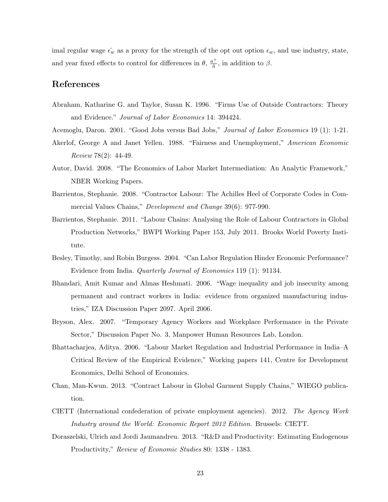imal regular wage  $\hat{\epsilon_w}$  as a proxy for the strength of the opt out option  $\epsilon_w$ , and use industry, state, and year fixed effects to control for differences in  $\theta$ ,  $\frac{a^+}{\bar{a}}$  $\frac{a^{\dagger}}{\bar{a}}$ , in addition to  $\beta$ .

# References

- Abraham, Katharine G. and Taylor, Susan K. 1996. "Firms Use of Outside Contractors: Theory and Evidence." Journal of Labor Economics 14: 394424.
- Acemoglu, Daron. 2001. "Good Jobs versus Bad Jobs," *Journal of Labor Economics* 19 (1): 1-21.
- Akerlof, George A and Janet Yellen. 1988. "Fairness and Unemployment," American Economic Review 78(2): 44-49.
- Autor, David. 2008. "The Economics of Labor Market Intermediation: An Analytic Framework," NBER Working Papers.
- Barrientos, Stephanie. 2008. "Contractor Labour: The Achilles Heel of Corporate Codes in Commercial Values Chains," Development and Change 39(6): 977-990.
- Barrientos, Stephanie. 2011. "Labour Chains: Analysing the Role of Labour Contractors in Global Production Networks," BWPI Working Paper 153, July 2011. Brooks World Poverty Institute.
- Besley, Timothy, and Robin Burgess. 2004. "Can Labor Regulation Hinder Economic Performance? Evidence from India. *Quarterly Journal of Economics* 119 (1): 91134.
- Bhandari, Amit Kumar and Almas Heshmati. 2006. "Wage inequality and job insecurity among permanent and contract workers in India: evidence from organized manufacturing industries," IZA Discussion Paper 2097. April 2006.
- Bryson, Alex. 2007. "Temporary Agency Workers and Workplace Performance in the Private Sector," Discussion Paper No. 3, Manpower Human Resources Lab, London.
- Bhattacharjea, Aditya. 2006. "Labour Market Regulation and Industrial Performance in India–A Critical Review of the Empirical Evidence," Working papers 141, Centre for Development Economics, Delhi School of Economics.
- Chan, Man-Kwun. 2013. "Contract Labour in Global Garment Supply Chains," WIEGO publication.
- CIETT (International confederation of private employment agencies). 2012. The Agency Work Industry around the World: Economic Report 2012 Edition. Brussels: CIETT.
- Doraszelski, Ulrich and Jordi Jaumandreu. 2013. "R&D and Productivity: Estimating Endogenous Productivity," Review of Economic Studies 80: 1338 - 1383.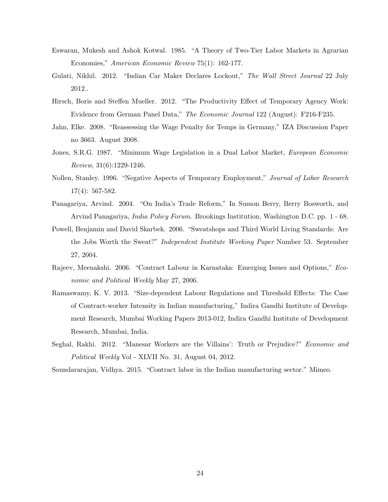- Eswaran, Mukesh and Ashok Kotwal. 1985. "A Theory of Two-Tier Labor Markets in Agrarian Economies," American Economic Review 75(1): 162-177.
- Gulati, Nikhil. 2012. "Indian Car Maker Declares Lockout," The Wall Street Journal 22 July 2012..
- Hirsch, Boris and Steffen Mueller. 2012. "The Productivity Effect of Temporary Agency Work: Evidence from German Panel Data," The Economic Journal 122 (August): F216-F235.
- Jahn, Elke. 2008. "Reassessing the Wage Penalty for Temps in Germany," IZA Discussion Paper no 3663. August 2008.
- Jones, S.R.G. 1987. "Minimum Wage Legislation in a Dual Labor Market, *European Economic* Review, 31(6):1229-1246.
- Nollen, Stanley. 1996. "Negative Aspects of Temporary Employment," Journal of Labor Research 17(4): 567-582.
- Panagariya, Arvind. 2004. "On India's Trade Reform," In Sumon Berry, Berry Bosworth, and Arvind Panagariya, India Policy Forum. Brookings Institution, Washington D.C. pp. 1 - 68.
- Powell, Benjamin and David Skarbek. 2006. "Sweatshops and Third World Living Standards: Are the Jobs Worth the Sweat?" Independent Institute Working Paper Number 53. September 27, 2004.
- Rajeev, Meenakshi. 2006. "Contract Labour in Karnataka: Emerging Issues and Options," Economic and Political Weekly May 27, 2006.
- Ramaswamy, K. V. 2013. "Size-dependent Labour Regulations and Threshold Effects: The Case of Contract-worker Intensity in Indian manufacturing," Indira Gandhi Institute of Development Research, Mumbai Working Papers 2013-012, Indira Gandhi Institute of Development Research, Mumbai, India.
- Seghal, Rakhi. 2012. "Manesar Workers are the Villains': Truth or Prejudice?" Economic and Political Weekly Vol - XLVII No. 31, August 04, 2012.

Soundararajan, Vidhya. 2015. "Contract labor in the Indian manufacturing sector." Mimeo.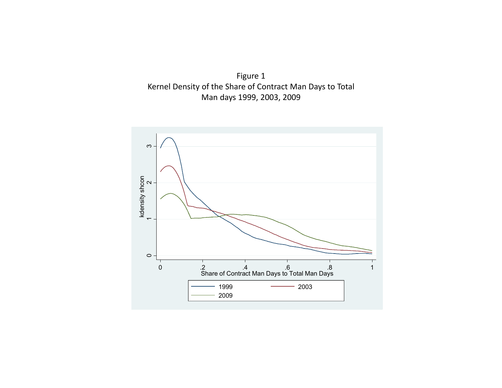

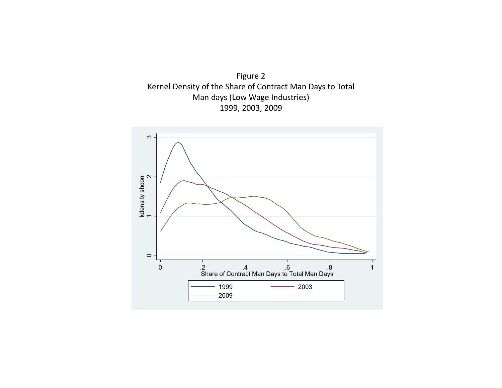

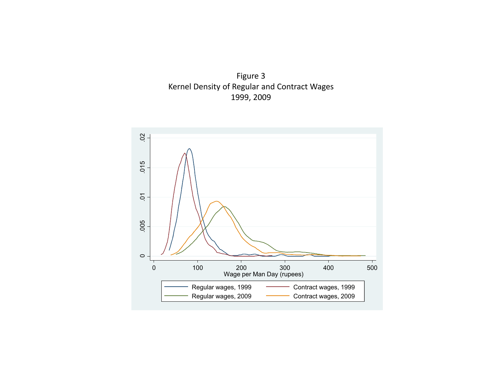

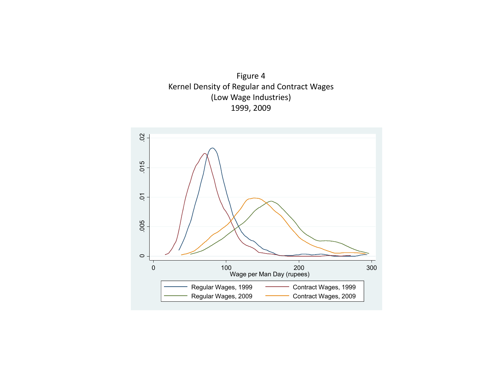

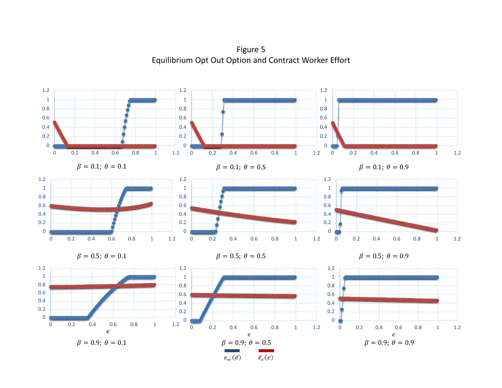Figure 5 Equilibrium Opt Out Option and Contract Worker Effort

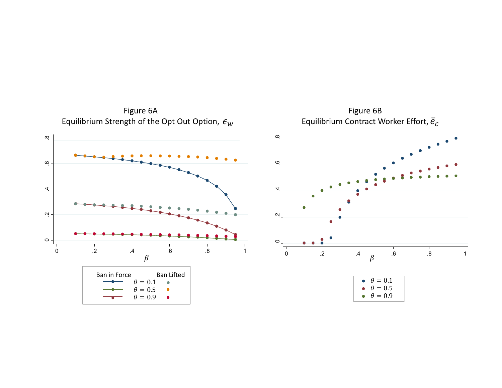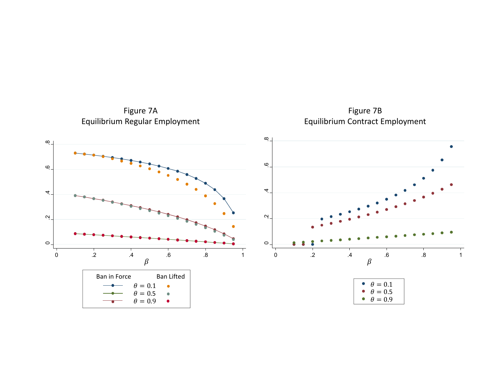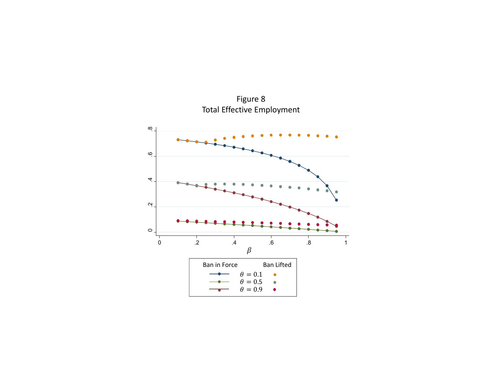$\infty$  .2 .4 .6 .8  $\ddot{\circ}$  $\overline{4}$  $\ddot{a}$  $\circ$  $\frac{1}{\sqrt{2}}$  .2 .4 .6 .8 1  $\beta$ Ban Lifted **Ban in Force**  $\bullet$  $\theta=0.1$  $\bullet$  $\theta=0.5 \ \theta=0.9$  $\bullet$ 

Figure 8 Total Effective Employment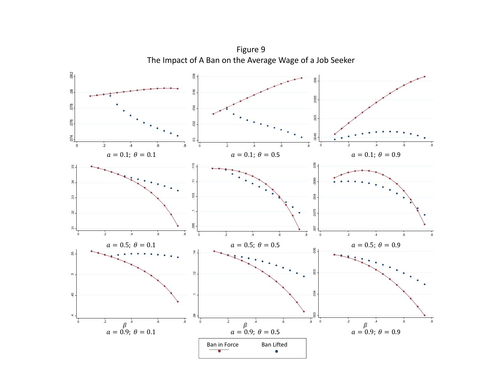

Figure 9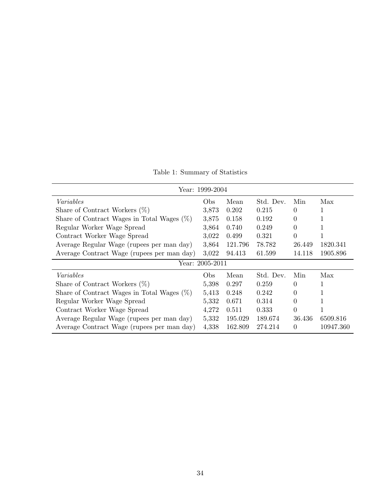Table 1: Summary of Statistics

| Year: 1999-2004                               |       |         |           |          |           |  |
|-----------------------------------------------|-------|---------|-----------|----------|-----------|--|
| Variables                                     | Obs   | Mean    | Std. Dev. | Min      | Max       |  |
| Share of Contract Workers $(\%)$              | 3,873 | 0.202   | 0.215     | 0        |           |  |
| Share of Contract Wages in Total Wages $(\%)$ | 3,875 | 0.158   | 0.192     | 0        |           |  |
| Regular Worker Wage Spread                    | 3,864 | 0.740   | 0.249     | $\theta$ |           |  |
| Contract Worker Wage Spread                   | 3,022 | 0.499   | 0.321     | $\Omega$ |           |  |
| Average Regular Wage (rupees per man day)     | 3,864 | 121.796 | 78.782    | 26.449   | 1820.341  |  |
| Average Contract Wage (rupees per man day)    | 3,022 | 94.413  | 61.599    | 14.118   | 1905.896  |  |
| Year: 2005-2011                               |       |         |           |          |           |  |
| Variables                                     | Obs   | Mean    | Std. Dev. | Min      | Max       |  |
| Share of Contract Workers $(\%)$              | 5,398 | 0.297   | 0.259     | 0        |           |  |
| Share of Contract Wages in Total Wages $(\%)$ |       | 0.248   | 0.242     | 0        |           |  |
| Regular Worker Wage Spread                    | 5,332 | 0.671   | 0.314     | 0        |           |  |
| Contract Worker Wage Spread                   |       | 0.511   | 0.333     | $\Omega$ | 1         |  |
| Average Regular Wage (rupees per man day)     |       | 195.029 | 189.674   | 36.436   | 6509.816  |  |
| Average Contract Wage (rupees per man day)    | 4,338 | 162.809 | 274.214   | $\Omega$ | 10947.360 |  |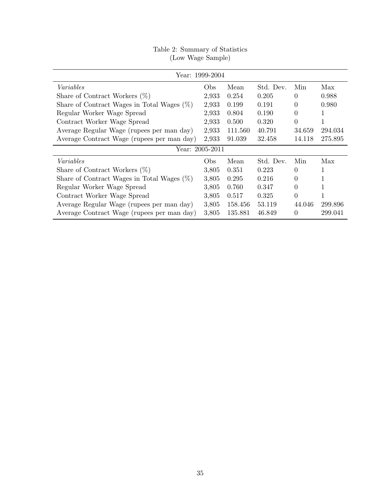| Year: 1999-2004                               |                 |         |           |          |         |  |  |
|-----------------------------------------------|-----------------|---------|-----------|----------|---------|--|--|
| Variables                                     | Obs.            | Mean    | Std. Dev. | Min      | Max     |  |  |
| Share of Contract Workers $(\%)$              | 2,933           | 0.254   | 0.205     | $\Omega$ | 0.988   |  |  |
| Share of Contract Wages in Total Wages $(\%)$ | 2,933           | 0.199   | 0.191     | $\Omega$ | 0.980   |  |  |
| Regular Worker Wage Spread                    | 2,933           | 0.804   | 0.190     | $\Omega$ | 1       |  |  |
| Contract Worker Wage Spread                   | 2,933           | 0.500   | 0.320     | $\Omega$ |         |  |  |
| Average Regular Wage (rupees per man day)     | 2,933           | 111.560 | 40.791    | 34.659   | 294.034 |  |  |
| Average Contract Wage (rupees per man day)    | 2,933           | 91.039  | 32.458    | 14.118   | 275.895 |  |  |
| Year: 2005-2011                               |                 |         |           |          |         |  |  |
| Variables                                     | O <sub>bs</sub> | Mean    | Std. Dev. | Min      | Max     |  |  |
| Share of Contract Workers $(\%)$              | 3,805           | 0.351   | 0.223     | $\Omega$ |         |  |  |
| Share of Contract Wages in Total Wages $(\%)$ | 3,805           | 0.295   | 0.216     | $\Omega$ |         |  |  |
| Regular Worker Wage Spread                    | 3,805           | 0.760   | 0.347     | $\Omega$ |         |  |  |
| Contract Worker Wage Spread                   | 3,805           | 0.517   | 0.325     | $\Omega$ |         |  |  |
| Average Regular Wage (rupees per man day)     | 3,805           | 158.456 | 53.119    | 44.046   | 299.896 |  |  |
| Average Contract Wage (rupees per man day)    | 3,805           | 135.881 | 46.849    | $\Omega$ | 299.041 |  |  |

# Table 2: Summary of Statistics (Low Wage Sample)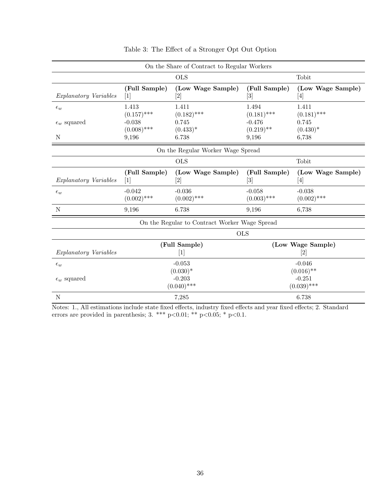| On the Share of Contract to Regular Workers   |                                                                                                                                                                                                                                                                                                                                                                                                                                                                                   |                               |                                           |                                                                                                                                                                                                            |  |
|-----------------------------------------------|-----------------------------------------------------------------------------------------------------------------------------------------------------------------------------------------------------------------------------------------------------------------------------------------------------------------------------------------------------------------------------------------------------------------------------------------------------------------------------------|-------------------------------|-------------------------------------------|------------------------------------------------------------------------------------------------------------------------------------------------------------------------------------------------------------|--|
|                                               |                                                                                                                                                                                                                                                                                                                                                                                                                                                                                   | <b>OLS</b>                    |                                           | Tobit                                                                                                                                                                                                      |  |
| <i>Explanatory Variables</i>                  | (Full Sample)<br>$[1]$                                                                                                                                                                                                                                                                                                                                                                                                                                                            | (Low Wage Sample)             | (Full Sample)<br>$\left[3\right]$         | (Low Wage Sample)<br>$[4] % \includegraphics[width=1\textwidth]{images/TrDiM-Architecture.png} \caption{The figure shows the results of the estimators in the left hand side.} \label{TrDiM-Architecture}$ |  |
| $\epsilon_w$                                  | 1.413<br>$(0.157)$ ***                                                                                                                                                                                                                                                                                                                                                                                                                                                            | 1.411<br>$(0.182)$ ***        | 1.494<br>$(0.181)$ ***                    | 1.411<br>$(0.181)$ ***                                                                                                                                                                                     |  |
| $\epsilon_w$ squared<br>N                     | $-0.038$<br>$(0.008)$ ***<br>9,196                                                                                                                                                                                                                                                                                                                                                                                                                                                | 0.745<br>$(0.433)^*$<br>6.738 | $-0.476$<br>$(0.219)$ **<br>9,196         | 0.745<br>$(0.430)^*$<br>6,738                                                                                                                                                                              |  |
| On the Regular Worker Wage Spread             |                                                                                                                                                                                                                                                                                                                                                                                                                                                                                   |                               |                                           |                                                                                                                                                                                                            |  |
|                                               |                                                                                                                                                                                                                                                                                                                                                                                                                                                                                   | <b>OLS</b>                    |                                           | Tobit                                                                                                                                                                                                      |  |
| <i>Explanatory Variables</i>                  | (Full Sample)<br>$[1]$                                                                                                                                                                                                                                                                                                                                                                                                                                                            | (Low Wage Sample)<br>[2]      | (Full Sample)<br>$\lceil 3 \rceil$        | (Low Wage Sample)<br>$[4] % \includegraphics[width=1\textwidth]{images/TrDiM-Architecture.png} \caption{The figure shows the results of the estimators in the left hand side.} \label{TrDiM-Architecture}$ |  |
| $\epsilon_w$                                  | $-0.042$<br>$(0.002)$ ***                                                                                                                                                                                                                                                                                                                                                                                                                                                         | $-0.036$<br>$(0.002)$ ***     | $-0.058$<br>$(0.003)$ ***                 | $-0.038$<br>$(0.002)$ ***                                                                                                                                                                                  |  |
| N                                             | 9,196                                                                                                                                                                                                                                                                                                                                                                                                                                                                             | 6.738                         | 9,196                                     | 6,738                                                                                                                                                                                                      |  |
| On the Regular to Contract Worker Wage Spread |                                                                                                                                                                                                                                                                                                                                                                                                                                                                                   |                               |                                           |                                                                                                                                                                                                            |  |
|                                               | <b>OLS</b>                                                                                                                                                                                                                                                                                                                                                                                                                                                                        |                               |                                           |                                                                                                                                                                                                            |  |
| <i>Explanatory Variables</i>                  | (Full Sample)<br>$[1] % \includegraphics[width=0.9\columnwidth]{figures/fig_10.pdf} \caption{The graph $\mathcal{N}_1$ is a function of the parameter $\mathcal{N}_1$ and the number of parameters $\mathcal{N}_2$ is a function of the parameter $\mathcal{N}_1$ and the number of parameters $\mathcal{N}_2$ is a function of the parameter $\mathcal{N}_1$ and the number of parameters $\mathcal{N}_2$ is a function of the parameter $\mathcal{N}_1$.} \label{fig:fig:time}$ |                               | (Low Wage Sample)<br>$[2]$                |                                                                                                                                                                                                            |  |
| $\epsilon_w$                                  | $-0.053$                                                                                                                                                                                                                                                                                                                                                                                                                                                                          |                               | $-0.046$                                  |                                                                                                                                                                                                            |  |
| $\epsilon_w$ squared                          | $(0.030)*$<br>$-0.203$<br>$(0.040)$ ***                                                                                                                                                                                                                                                                                                                                                                                                                                           |                               | $(0.016)$ **<br>$-0.251$<br>$(0.039)$ *** |                                                                                                                                                                                                            |  |
| $\mathbf N$                                   | 7,285                                                                                                                                                                                                                                                                                                                                                                                                                                                                             |                               | 6.738                                     |                                                                                                                                                                                                            |  |

Table 3: The Effect of a Stronger Opt Out Option

Notes: 1., All estimations include state fixed effects, industry fixed effects and year fixed effects; 2. Standard errors are provided in parenthesis;  $3.***$  p $<0.01;***$  p $<0.05;*$  p $<0.1$ .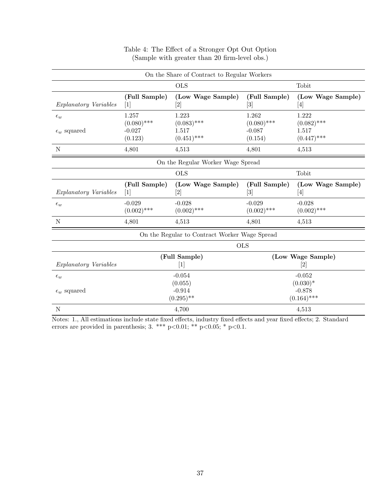| On the Share of Contract to Regular Workers   |                                                                                                                                                                                                                                                                                                                                                                                                                                                                                   |                                 |                                                                                                                                                                                                       |                                                                                                                                                                                                                                                                                                                                                                                                                                                                                                                                                                                                                                                                                |  |
|-----------------------------------------------|-----------------------------------------------------------------------------------------------------------------------------------------------------------------------------------------------------------------------------------------------------------------------------------------------------------------------------------------------------------------------------------------------------------------------------------------------------------------------------------|---------------------------------|-------------------------------------------------------------------------------------------------------------------------------------------------------------------------------------------------------|--------------------------------------------------------------------------------------------------------------------------------------------------------------------------------------------------------------------------------------------------------------------------------------------------------------------------------------------------------------------------------------------------------------------------------------------------------------------------------------------------------------------------------------------------------------------------------------------------------------------------------------------------------------------------------|--|
|                                               |                                                                                                                                                                                                                                                                                                                                                                                                                                                                                   | <b>OLS</b>                      |                                                                                                                                                                                                       | Tobit                                                                                                                                                                                                                                                                                                                                                                                                                                                                                                                                                                                                                                                                          |  |
| Explanatory Variables                         | (Full Sample)<br>$[1]$                                                                                                                                                                                                                                                                                                                                                                                                                                                            | (Low Wage Sample)               | (Full Sample)<br>$\left\lceil 3 \right\rceil$                                                                                                                                                         | (Low Wage Sample)<br>$[4] % \includegraphics[width=0.9\columnwidth]{images/TrDiM1.png} \caption{The figure shows the number of parameters in the left and right.} \label{TrDiM2} %$                                                                                                                                                                                                                                                                                                                                                                                                                                                                                            |  |
| $\epsilon_w$                                  | 1.257<br>$(0.080)$ ***<br>$-0.027$                                                                                                                                                                                                                                                                                                                                                                                                                                                | 1.223<br>$(0.083)$ ***<br>1.517 | 1.262<br>$(0.080)$ ***<br>$-0.087$                                                                                                                                                                    | 1.222<br>$(0.082)$ ***<br>1.517                                                                                                                                                                                                                                                                                                                                                                                                                                                                                                                                                                                                                                                |  |
| $\epsilon_w$ squared                          | (0.123)                                                                                                                                                                                                                                                                                                                                                                                                                                                                           | $(0.451)$ ***                   | (0.154)                                                                                                                                                                                               | $(0.447)$ ***                                                                                                                                                                                                                                                                                                                                                                                                                                                                                                                                                                                                                                                                  |  |
| N                                             | 4,801                                                                                                                                                                                                                                                                                                                                                                                                                                                                             | 4,513                           | 4,801                                                                                                                                                                                                 | 4,513                                                                                                                                                                                                                                                                                                                                                                                                                                                                                                                                                                                                                                                                          |  |
| On the Regular Worker Wage Spread             |                                                                                                                                                                                                                                                                                                                                                                                                                                                                                   |                                 |                                                                                                                                                                                                       |                                                                                                                                                                                                                                                                                                                                                                                                                                                                                                                                                                                                                                                                                |  |
|                                               |                                                                                                                                                                                                                                                                                                                                                                                                                                                                                   | <b>OLS</b>                      |                                                                                                                                                                                                       | Tobit                                                                                                                                                                                                                                                                                                                                                                                                                                                                                                                                                                                                                                                                          |  |
| <i>Explanatory Variables</i>                  | (Full Sample)<br>[1]                                                                                                                                                                                                                                                                                                                                                                                                                                                              | (Low Wage Sample)               | (Full Sample)<br>$[3] % \includegraphics[width=0.9\columnwidth]{figures/fig_0a.pdf} \caption{Schematic diagram of the top of the top of the top of the top of the top of the right.} \label{fig:1} %$ | (Low Wage Sample)<br>$[4] % \includegraphics[width=0.9\columnwidth]{figures/fig_4} \caption{A graph shows a function of the parameter $\{1,2,3,\ldots\}$ for the parameter $3$. The number of points $\{1,3,4,\ldots\}$ for the parameter $3$. The number of points $\{1,3,4,\ldots\}$ for the parameter $3$. The number of points $\{1,3,4,\ldots\}$ for the parameter $4$. The number of points $\{1,3,4,\ldots\}$ for the parameter $4$. The number of points $\{1,3,4,\ldots\}$ for the parameter $4$. The number of points $\{1,3,4,\ldots\}$ for the parameter $4$. The number of points $\{1,3,4,\ldots\}$ for the parameter $4$. The number of points $\{1,3,4,\ldots$ |  |
| $\epsilon_w$                                  | $-0.029$<br>$(0.002)$ ***                                                                                                                                                                                                                                                                                                                                                                                                                                                         | $-0.028$<br>$(0.002)$ ***       | $-0.029$<br>$(0.002)$ ***                                                                                                                                                                             | $-0.028$<br>$(0.002)$ ***                                                                                                                                                                                                                                                                                                                                                                                                                                                                                                                                                                                                                                                      |  |
| N                                             | 4,801                                                                                                                                                                                                                                                                                                                                                                                                                                                                             | 4,513                           | 4,801                                                                                                                                                                                                 | 4,513                                                                                                                                                                                                                                                                                                                                                                                                                                                                                                                                                                                                                                                                          |  |
| On the Regular to Contract Worker Wage Spread |                                                                                                                                                                                                                                                                                                                                                                                                                                                                                   |                                 |                                                                                                                                                                                                       |                                                                                                                                                                                                                                                                                                                                                                                                                                                                                                                                                                                                                                                                                |  |
|                                               | <b>OLS</b>                                                                                                                                                                                                                                                                                                                                                                                                                                                                        |                                 |                                                                                                                                                                                                       |                                                                                                                                                                                                                                                                                                                                                                                                                                                                                                                                                                                                                                                                                |  |
| Explanatory Variables                         | (Full Sample)<br>$[1] % \includegraphics[width=0.9\columnwidth]{figures/fig_10.pdf} \caption{The graph $\mathcal{N}_1$ is a function of the parameter $\mathcal{N}_1$ and the number of parameters $\mathcal{N}_2$ is a function of the parameter $\mathcal{N}_1$ and the number of parameters $\mathcal{N}_2$ is a function of the parameter $\mathcal{N}_1$ and the number of parameters $\mathcal{N}_2$ is a function of the parameter $\mathcal{N}_1$.} \label{fig:fig:time}$ |                                 | (Low Wage Sample)<br>$[2]$                                                                                                                                                                            |                                                                                                                                                                                                                                                                                                                                                                                                                                                                                                                                                                                                                                                                                |  |
| $\epsilon_w$                                  | $-0.054$                                                                                                                                                                                                                                                                                                                                                                                                                                                                          |                                 | $-0.052$                                                                                                                                                                                              |                                                                                                                                                                                                                                                                                                                                                                                                                                                                                                                                                                                                                                                                                |  |
| $\epsilon_w$ squared                          | (0.055)<br>$-0.914$<br>$(0.295)$ **                                                                                                                                                                                                                                                                                                                                                                                                                                               |                                 | $(0.030)*$<br>$-0.878$<br>$(0.164)$ ***                                                                                                                                                               |                                                                                                                                                                                                                                                                                                                                                                                                                                                                                                                                                                                                                                                                                |  |
| $\mathbf N$                                   | 4,700                                                                                                                                                                                                                                                                                                                                                                                                                                                                             |                                 | 4,513                                                                                                                                                                                                 |                                                                                                                                                                                                                                                                                                                                                                                                                                                                                                                                                                                                                                                                                |  |

# Table 4: The Effect of a Stronger Opt Out Option (Sample with greater than 20 firm-level obs.)

Notes: 1., All estimations include state fixed effects, industry fixed effects and year fixed effects; 2. Standard errors are provided in parenthesis;  $3.***$  p $<0.01;***$  p $<0.05;*$  p $<0.1$ .